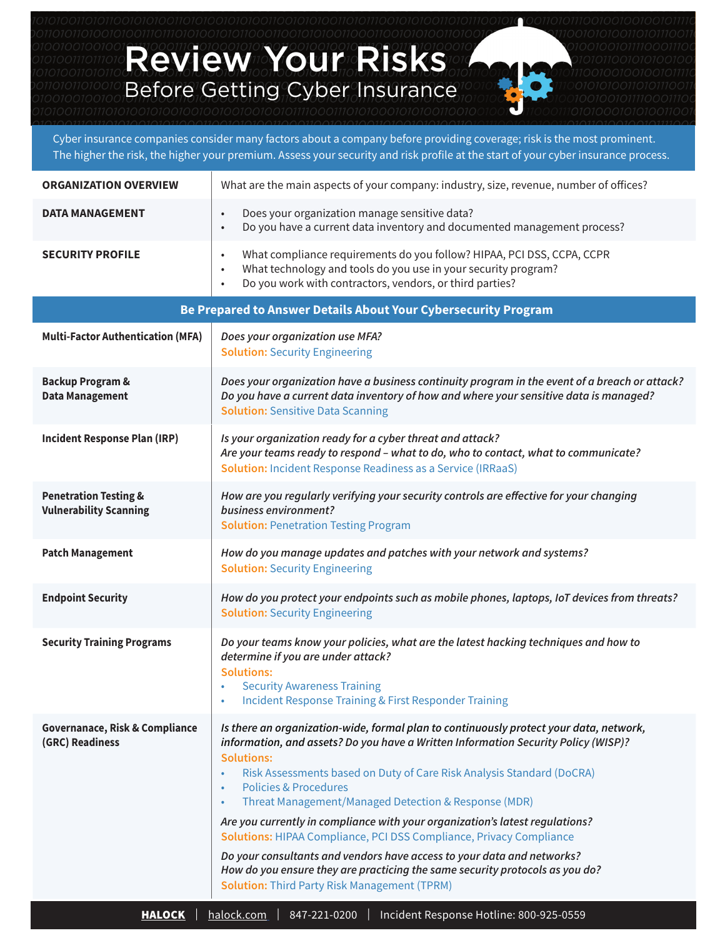Review Your Risks Before Getting Cyber Insurance

Cyber insurance companies consider many factors about a company before providing coverage; risk is the most prominent. The higher the risk, the higher your premium. Assess your security and risk profile at the start of your cyber insurance process.

| <b>ORGANIZATION OVERVIEW</b>                                      | What are the main aspects of your company: industry, size, revenue, number of offices?                                                                                                                                                                                                                                                                                                                                                                                                                                                                                                                                                                                                                                                                                                |
|-------------------------------------------------------------------|---------------------------------------------------------------------------------------------------------------------------------------------------------------------------------------------------------------------------------------------------------------------------------------------------------------------------------------------------------------------------------------------------------------------------------------------------------------------------------------------------------------------------------------------------------------------------------------------------------------------------------------------------------------------------------------------------------------------------------------------------------------------------------------|
| <b>DATA MANAGEMENT</b>                                            | Does your organization manage sensitive data?<br>$\bullet$<br>Do you have a current data inventory and documented management process?<br>$\bullet$                                                                                                                                                                                                                                                                                                                                                                                                                                                                                                                                                                                                                                    |
| <b>SECURITY PROFILE</b>                                           | What compliance requirements do you follow? HIPAA, PCI DSS, CCPA, CCPR<br>$\bullet$<br>What technology and tools do you use in your security program?<br>$\bullet$<br>Do you work with contractors, vendors, or third parties?<br>$\bullet$                                                                                                                                                                                                                                                                                                                                                                                                                                                                                                                                           |
| Be Prepared to Answer Details About Your Cybersecurity Program    |                                                                                                                                                                                                                                                                                                                                                                                                                                                                                                                                                                                                                                                                                                                                                                                       |
| <b>Multi-Factor Authentication (MFA)</b>                          | Does your organization use MFA?<br><b>Solution: Security Engineering</b>                                                                                                                                                                                                                                                                                                                                                                                                                                                                                                                                                                                                                                                                                                              |
| <b>Backup Program &amp;</b><br><b>Data Management</b>             | Does your organization have a business continuity program in the event of a breach or attack?<br>Do you have a current data inventory of how and where your sensitive data is managed?<br><b>Solution: Sensitive Data Scanning</b>                                                                                                                                                                                                                                                                                                                                                                                                                                                                                                                                                    |
| <b>Incident Response Plan (IRP)</b>                               | Is your organization ready for a cyber threat and attack?<br>Are your teams ready to respond - what to do, who to contact, what to communicate?<br><b>Solution: Incident Response Readiness as a Service (IRRaaS)</b>                                                                                                                                                                                                                                                                                                                                                                                                                                                                                                                                                                 |
| <b>Penetration Testing &amp;</b><br><b>Vulnerability Scanning</b> | How are you regularly verifying your security controls are effective for your changing<br>business environment?<br><b>Solution: Penetration Testing Program</b>                                                                                                                                                                                                                                                                                                                                                                                                                                                                                                                                                                                                                       |
| <b>Patch Management</b>                                           | How do you manage updates and patches with your network and systems?<br><b>Solution: Security Engineering</b>                                                                                                                                                                                                                                                                                                                                                                                                                                                                                                                                                                                                                                                                         |
| <b>Endpoint Security</b>                                          | How do you protect your endpoints such as mobile phones, laptops, IoT devices from threats?<br><b>Solution: Security Engineering</b>                                                                                                                                                                                                                                                                                                                                                                                                                                                                                                                                                                                                                                                  |
| <b>Security Training Programs</b>                                 | Do your teams know your policies, what are the latest hacking techniques and how to<br>determine if you are under attack?<br><b>Solutions:</b><br><b>Security Awareness Training</b><br>Incident Response Training & First Responder Training                                                                                                                                                                                                                                                                                                                                                                                                                                                                                                                                         |
| <b>Governanace, Risk &amp; Compliance</b><br>(GRC) Readiness      | Is there an organization-wide, formal plan to continuously protect your data, network,<br>information, and assets? Do you have a Written Information Security Policy (WISP)?<br><b>Solutions:</b><br>Risk Assessments based on Duty of Care Risk Analysis Standard (DoCRA)<br>$\bullet$<br><b>Policies &amp; Procedures</b><br>$\bullet$<br>Threat Management/Managed Detection & Response (MDR)<br>$\bullet$<br>Are you currently in compliance with your organization's latest regulations?<br>Solutions: HIPAA Compliance, PCI DSS Compliance, Privacy Compliance<br>Do your consultants and vendors have access to your data and networks?<br>How do you ensure they are practicing the same security protocols as you do?<br><b>Solution: Third Party Risk Management (TPRM)</b> |